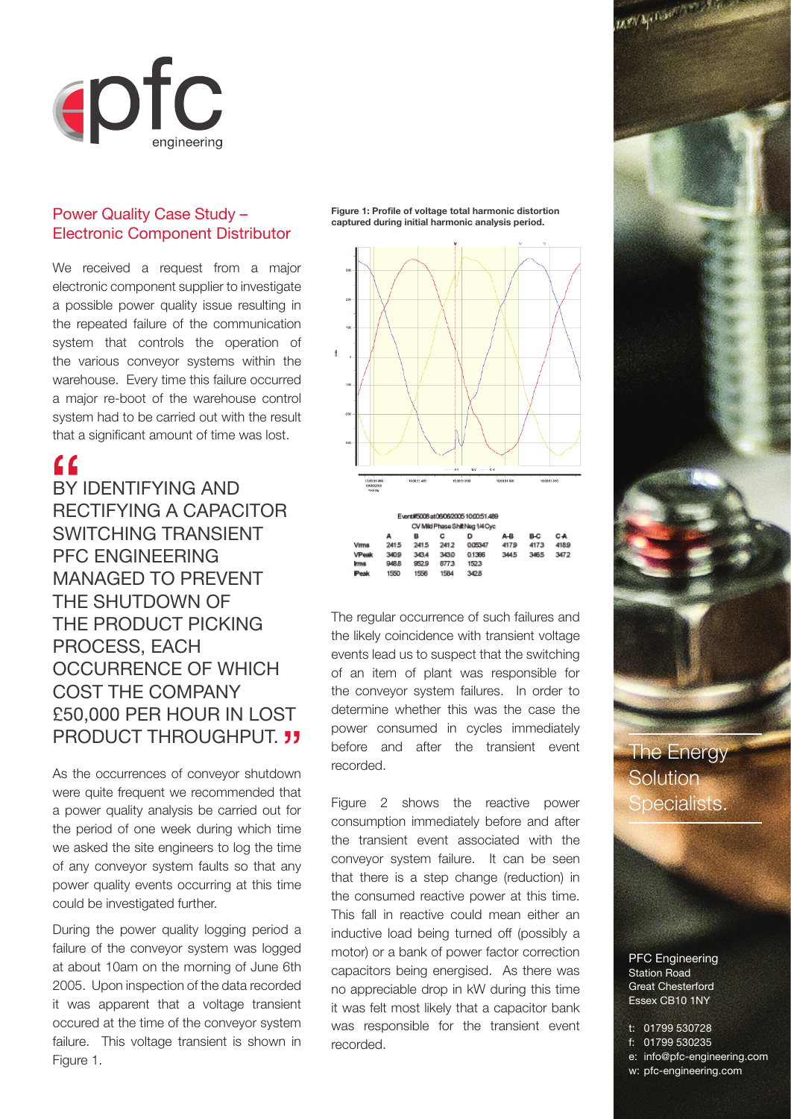

## Power Quality Case Study – Electronic Component Distributor

We received a request from a major electronic component supplier to investigate a possible power quality issue resulting in the repeated failure of the communication system that controls the operation of the various conveyor systems within the warehouse. Every time this failure occurred a major re-boot of the warehouse control system had to be carried out with the result that a significant amount of time was lost.

## $\epsilon$

BY IDENTIFYING AND RECTIFYING A CAPACITOR SWITCHING TRANSIENT PFC ENGINEERING MANAGED TO PREVENT THE SHUTDOWN OF THE PRODUCT PICKING PROCESS, EACH OCCURRENCE OF WHICH COST THE COMPANY £50,000 PER HOUR IN LOST PRODUCT THROUGHPUT. **33** 

As the occurrences of conveyor shutdown were quite frequent we recommended that a power quality analysis be carried out for the period of one week during which time we asked the site engineers to log the time of any conveyor system faults so that any power quality events occurring at this time could be investigated further.

During the power quality logging period a failure of the conveyor system was logged at about 10am on the morning of June 6th 2005. Upon inspection of the data recorded it was apparent that a voltage transient occured at the time of the conveyor system failure. This voltage transient is shown in Figure 1.

Figure 1: Profile of voltage total harmonic distortion **captured during initial harmonic analysis period.** 



| А     | в     |      | D      | A-B  | B-C                                                              | C <sub>A</sub> |
|-------|-------|------|--------|------|------------------------------------------------------------------|----------------|
| 2415  | 241.5 | 2412 | 005347 | 4179 | 4173                                                             | 418.9          |
| 340.9 | 343.4 | 343D | 0.1366 | 3445 | 3465                                                             | 3472           |
| 948.B | 952.9 | 8773 | 1523   |      |                                                                  |                |
| 1550  | 1556  | 1584 | 3428   |      |                                                                  |                |
|       |       |      |        |      | Event#5008at06082005100051489<br>CV Mild Phase Shift Neg 1/4 Cyc |                |

The regular occurrence of such failures and the likely coincidence with transient voltage events lead us to suspect that the switching of an item of plant was responsible for the conveyor system failures. In order to determine whether this was the case the power consumed in cycles immediately before and after the transient event recorded.

Figure 2 shows the reactive power consumption immediately before and after the transient event associated with the conveyor system failure. It can be seen that there is a step change (reduction) in the consumed reactive power at this time. This fall in reactive could mean either an inductive load being turned off (possibly a motor) or a bank of power factor correction capacitors being energised. As there was no appreciable drop in kW during this time it was felt most likely that a capacitor bank was responsible for the transient event recorded.



The Energy **Solution** Specialists.

PFC Engineering Station Road Great Chesterford Essex CB10 1NY

t: 01799 530728 f: 01799 530235 e: info@pfc-engineering.com w: pfc-engineering.com